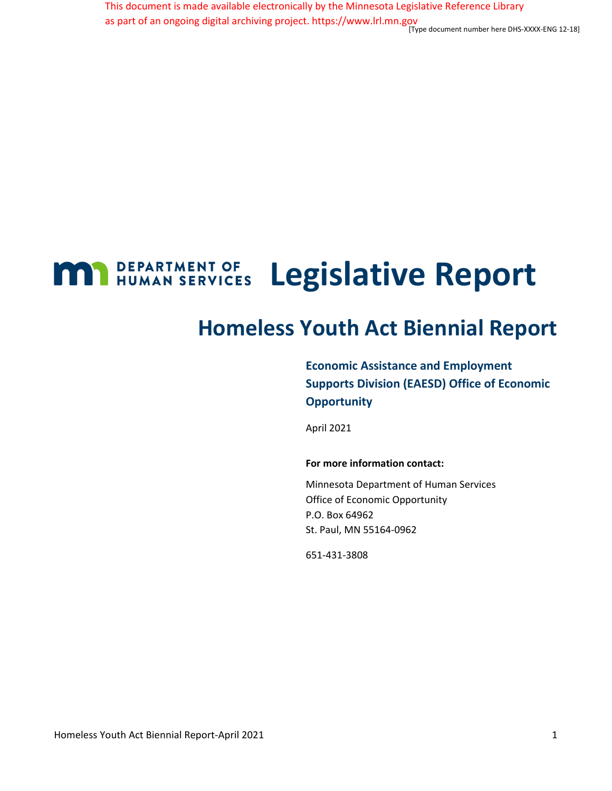[Type document number here DHS-XXXX-ENG 12-18] This document is made available electronically by the Minnesota Legislative Reference Library as part of an ongoing digital archiving project. https://www.lrl.mn.gov

## **MAN** DEPARTMENT OF **Legislative Report**

# **Homeless Youth Act Biennial Report**

**Economic Assistance and Employment Supports Division (EAESD) Office of Economic Opportunity** 

April 2021

#### **For more information contact:**

Minnesota Department of Human Services Office of Economic Opportunity P.O. Box 64962 St. Paul, MN 55164-0962

651-431-3808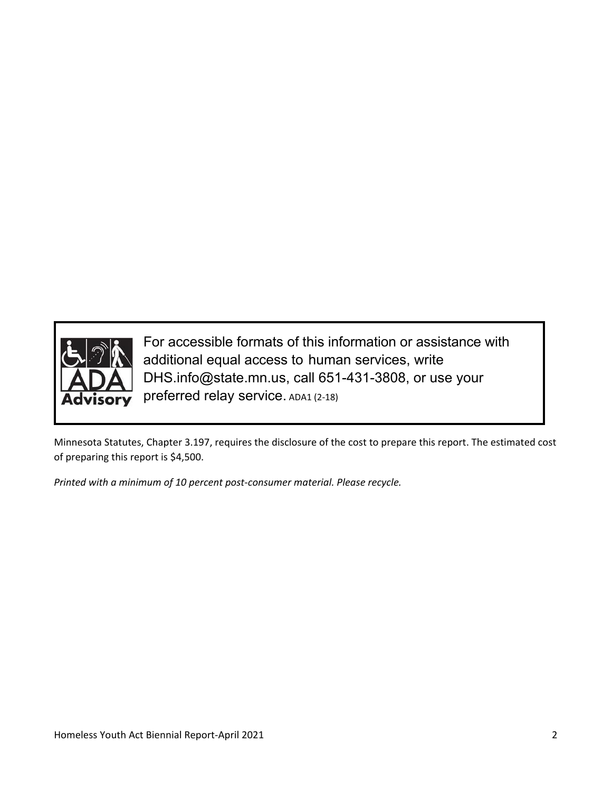

For accessible formats of this information or assistance with additional equal access to human services, write DHS.info@state.mn.us, call 651-431-3808, or use your preferred relay service. ADA1 (2-18)

Minnesota Statutes, Chapter 3.197, requires the disclosure of the cost to prepare this report. The estimated cost of preparing this report is \$4,500.

*Printed with a minimum of 10 percent post-consumer material. Please recycle.*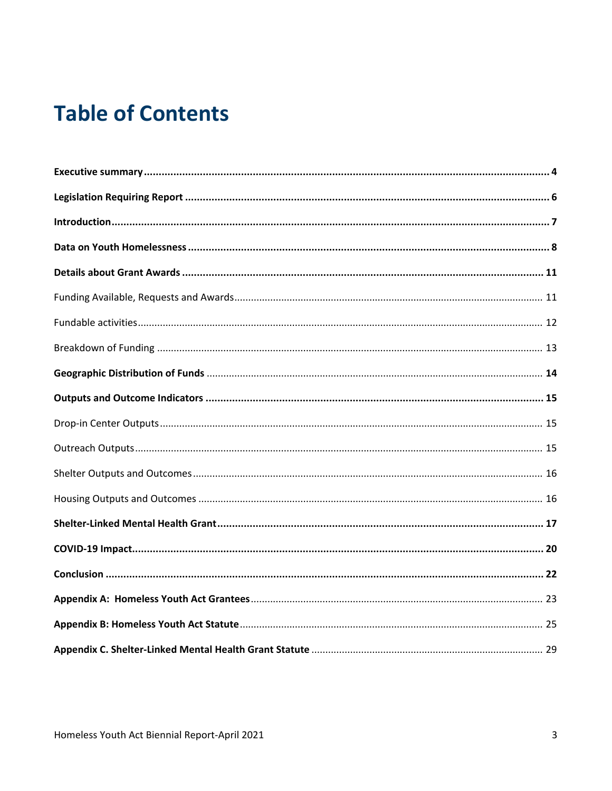# **Table of Contents**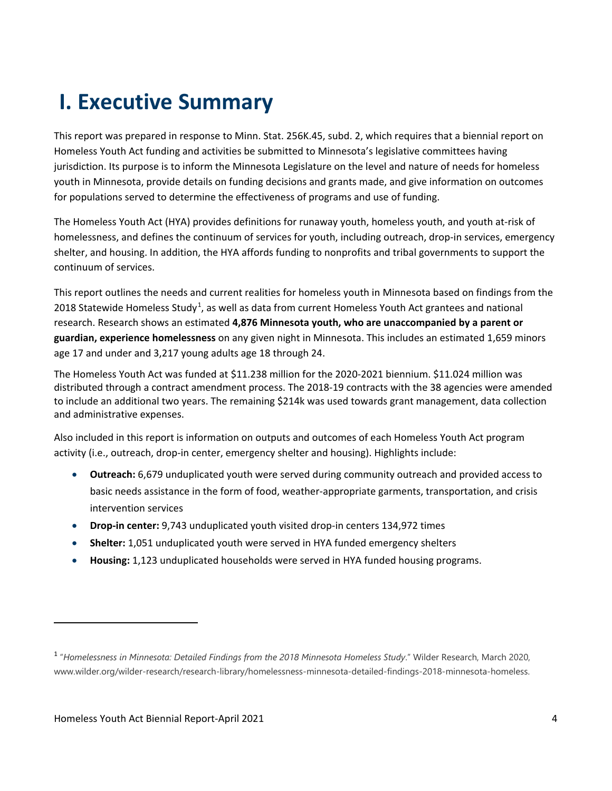# **I. Executive Summary**

This report was prepared in response to Minn. Stat. 256K.45, subd. 2, which requires that a biennial report on Homeless Youth Act funding and activities be submitted to Minnesota's legislative committees having jurisdiction. Its purpose is to inform the Minnesota Legislature on the level and nature of needs for homeless youth in Minnesota, provide details on funding decisions and grants made, and give information on outcomes for populations served to determine the effectiveness of programs and use of funding.

The Homeless Youth Act (HYA) provides definitions for runaway youth, homeless youth, and youth at-risk of homelessness, and defines the continuum of services for youth, including outreach, drop-in services, emergency shelter, and housing. In addition, the HYA affords funding to nonprofits and tribal governments to support the continuum of services.

This report outlines the needs and current realities for homeless youth in Minnesota based on findings from the 2018 Statewide Homeless Study<sup>1</sup>, as well as data from current Homeless Youth Act grantees and national research. Research shows an estimated **4,876 Minnesota youth, who are unaccompanied by a parent or guardian, experience homelessness** on any given night in Minnesota. This includes an estimated 1,659 minors age 17 and under and 3,217 young adults age 18 through 24.

The Homeless Youth Act was funded at \$11.238 million for the 2020-2021 biennium. \$11.024 million was distributed through a contract amendment process. The 2018-19 contracts with the 38 agencies were amended to include an additional two years. The remaining \$214k was used towards grant management, data collection and administrative expenses.

Also included in this report is information on outputs and outcomes of each Homeless Youth Act program activity (i.e., outreach, drop-in center, emergency shelter and housing). Highlights include:

- **Outreach:** 6,679 unduplicated youth were served during community outreach and provided access to basic needs assistance in the form of food, weather-appropriate garments, transportation, and crisis intervention services
- **Drop-in center:** 9,743 unduplicated youth visited drop-in centers 134,972 times
- **Shelter:** 1,051 unduplicated youth were served in HYA funded emergency shelters
- **Housing:** 1,123 unduplicated households were served in HYA funded housing programs.

l

<sup>1</sup> "*Homelessness in Minnesota: Detailed Findings from the 2018 Minnesota Homeless Study*." Wilder Research, March 2020, www.wilder.org/wilder-research/research-library/homelessness-minnesota-detailed-findings-2018-minnesota-homeless.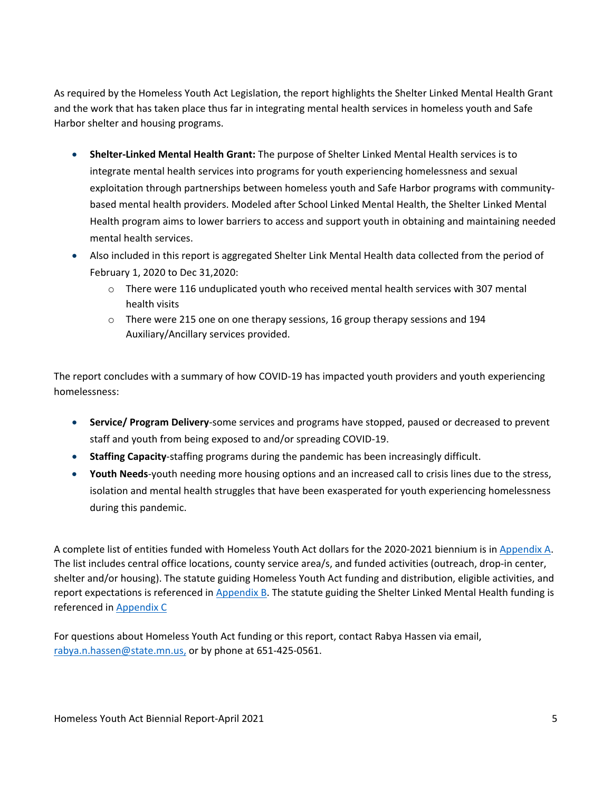As required by the Homeless Youth Act Legislation, the report highlights the Shelter Linked Mental Health Grant and the work that has taken place thus far in integrating mental health services in homeless youth and Safe Harbor shelter and housing programs.

- **Shelter-Linked Mental Health Grant:** The purpose of Shelter Linked Mental Health services is to integrate mental health services into programs for youth experiencing homelessness and sexual exploitation through partnerships between homeless youth and Safe Harbor programs with communitybased mental health providers. Modeled after School Linked Mental Health, the Shelter Linked Mental Health program aims to lower barriers to access and support youth in obtaining and maintaining needed mental health services.
- Also included in this report is aggregated Shelter Link Mental Health data collected from the period of February 1, 2020 to Dec 31,2020:
	- o There were 116 unduplicated youth who received mental health services with 307 mental health visits
	- $\circ$  There were 215 one on one therapy sessions, 16 group therapy sessions and 194 Auxiliary/Ancillary services provided.

The report concludes with a summary of how COVID-19 has impacted youth providers and youth experiencing homelessness:

- **Service/ Program Delivery**-some services and programs have stopped, paused or decreased to prevent staff and youth from being exposed to and/or spreading COVID-19.
- **Staffing Capacity**-staffing programs during the pandemic has been increasingly difficult.
- **Youth Needs**-youth needing more housing options and an increased call to crisis lines due to the stress, isolation and mental health struggles that have been exasperated for youth experiencing homelessness during this pandemic.

A complete list of entities funded with Homeless Youth Act dollars for the 2020-2021 biennium is in Appendix A. The list includes central office locations, county service area/s, and funded activities (outreach, drop-in center, shelter and/or housing). The statute guiding Homeless Youth Act funding and distribution, eligible activities, and report expectations is referenced in Appendix B. The statute guiding the Shelter Linked Mental Health funding is referenced in Appendix C

For questions about Homeless Youth Act funding or this report, contact Rabya Hassen via email, rabya.n.hassen@state.mn.us, or by phone at 651-425-0561.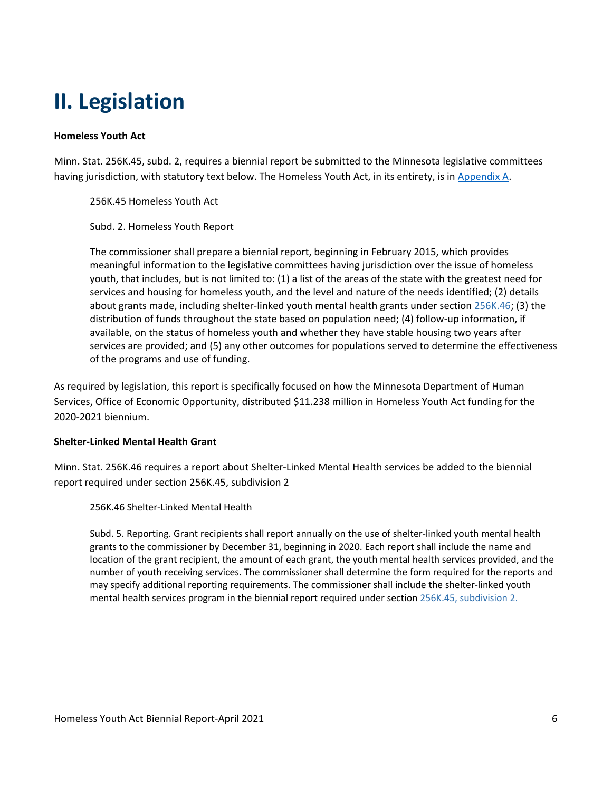# **II. Legislation**

#### **Homeless Youth Act**

Minn. Stat. 256K.45, subd. 2, requires a biennial report be submitted to the Minnesota legislative committees having jurisdiction, with statutory text below. The Homeless Youth Act, in its entirety, is in Appendix A.

256K.45 Homeless Youth Act

Subd. 2. Homeless Youth Report

The commissioner shall prepare a biennial report, beginning in February 2015, which provides meaningful information to the legislative committees having jurisdiction over the issue of homeless youth, that includes, but is not limited to: (1) a list of the areas of the state with the greatest need for services and housing for homeless youth, and the level and nature of the needs identified; (2) details about grants made, including shelter-linked youth mental health grants under section 256K.46; (3) the distribution of funds throughout the state based on population need; (4) follow-up information, if available, on the status of homeless youth and whether they have stable housing two years after services are provided; and (5) any other outcomes for populations served to determine the effectiveness of the programs and use of funding.

As required by legislation, this report is specifically focused on how the Minnesota Department of Human Services, Office of Economic Opportunity, distributed \$11.238 million in Homeless Youth Act funding for the 2020-2021 biennium.

#### **Shelter-Linked Mental Health Grant**

Minn. Stat. 256K.46 requires a report about Shelter-Linked Mental Health services be added to the biennial report required under section 256K.45, subdivision 2

256K.46 Shelter-Linked Mental Health

Subd. 5. Reporting. Grant recipients shall report annually on the use of shelter-linked youth mental health grants to the commissioner by December 31, beginning in 2020. Each report shall include the name and location of the grant recipient, the amount of each grant, the youth mental health services provided, and the number of youth receiving services. The commissioner shall determine the form required for the reports and may specify additional reporting requirements. The commissioner shall include the shelter-linked youth mental health services program in the biennial report required under section 256K.45, subdivision 2.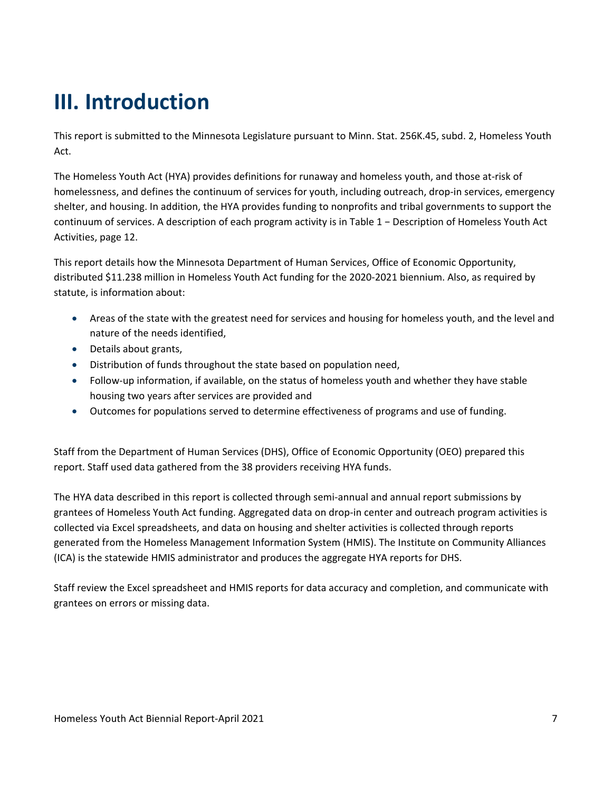# **III. Introduction**

This report is submitted to the Minnesota Legislature pursuant to Minn. Stat. 256K.45, subd. 2, Homeless Youth Act.

The Homeless Youth Act (HYA) provides definitions for runaway and homeless youth, and those at-risk of homelessness, and defines the continuum of services for youth, including outreach, drop-in services, emergency shelter, and housing. In addition, the HYA provides funding to nonprofits and tribal governments to support the continuum of services. A description of each program activity is in Table 1 − Description of Homeless Youth Act Activities, page 12.

This report details how the Minnesota Department of Human Services, Office of Economic Opportunity, distributed \$11.238 million in Homeless Youth Act funding for the 2020-2021 biennium. Also, as required by statute, is information about:

- Areas of the state with the greatest need for services and housing for homeless youth, and the level and nature of the needs identified,
- Details about grants,
- Distribution of funds throughout the state based on population need,
- Follow-up information, if available, on the status of homeless youth and whether they have stable housing two years after services are provided and
- Outcomes for populations served to determine effectiveness of programs and use of funding.

Staff from the Department of Human Services (DHS), Office of Economic Opportunity (OEO) prepared this report. Staff used data gathered from the 38 providers receiving HYA funds.

The HYA data described in this report is collected through semi-annual and annual report submissions by grantees of Homeless Youth Act funding. Aggregated data on drop-in center and outreach program activities is collected via Excel spreadsheets, and data on housing and shelter activities is collected through reports generated from the Homeless Management Information System (HMIS). The Institute on Community Alliances (ICA) is the statewide HMIS administrator and produces the aggregate HYA reports for DHS.

Staff review the Excel spreadsheet and HMIS reports for data accuracy and completion, and communicate with grantees on errors or missing data.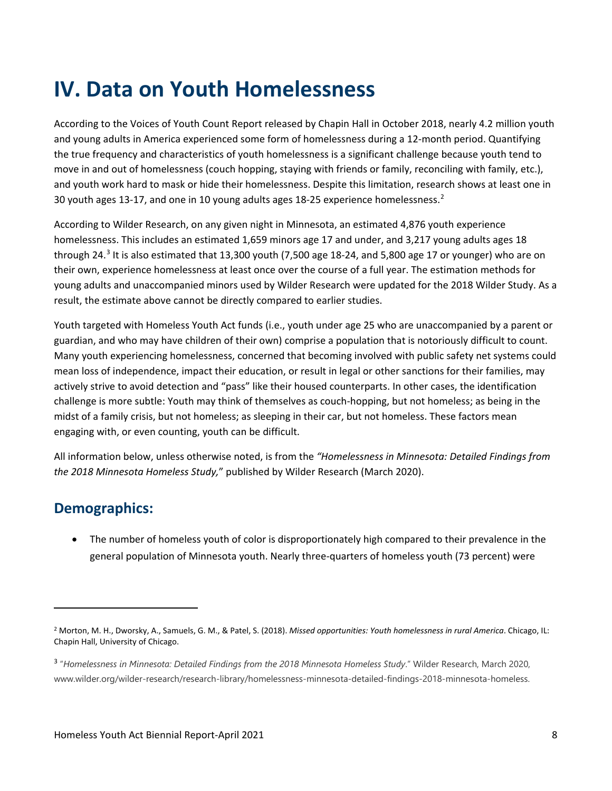# **IV. Data on Youth Homelessness**

According to the Voices of Youth Count Report released by Chapin Hall in October 2018, nearly 4.2 million youth and young adults in America experienced some form of homelessness during a 12-month period. Quantifying the true frequency and characteristics of youth homelessness is a significant challenge because youth tend to move in and out of homelessness (couch hopping, staying with friends or family, reconciling with family, etc.), and youth work hard to mask or hide their homelessness. Despite this limitation, research shows at least one in 30 youth ages 13-17, and one in 10 young adults ages 18-25 experience homelessness.<sup>2</sup>

According to Wilder Research, on any given night in Minnesota, an estimated 4,876 youth experience homelessness. This includes an estimated 1,659 minors age 17 and under, and 3,217 young adults ages 18 through 24.<sup>3</sup> It is also estimated that 13,300 youth (7,500 age 18-24, and 5,800 age 17 or younger) who are on their own, experience homelessness at least once over the course of a full year. The estimation methods for young adults and unaccompanied minors used by Wilder Research were updated for the 2018 Wilder Study. As a result, the estimate above cannot be directly compared to earlier studies.

Youth targeted with Homeless Youth Act funds (i.e., youth under age 25 who are unaccompanied by a parent or guardian, and who may have children of their own) comprise a population that is notoriously difficult to count. Many youth experiencing homelessness, concerned that becoming involved with public safety net systems could mean loss of independence, impact their education, or result in legal or other sanctions for their families, may actively strive to avoid detection and "pass" like their housed counterparts. In other cases, the identification challenge is more subtle: Youth may think of themselves as couch-hopping, but not homeless; as being in the midst of a family crisis, but not homeless; as sleeping in their car, but not homeless. These factors mean engaging with, or even counting, youth can be difficult.

All information below, unless otherwise noted, is from the *"Homelessness in Minnesota: Detailed Findings from the 2018 Minnesota Homeless Study,*" published by Wilder Research (March 2020).

## **Demographics:**

 $\overline{a}$ 

• The number of homeless youth of color is disproportionately high compared to their prevalence in the general population of Minnesota youth. Nearly three-quarters of homeless youth (73 percent) were

<sup>2</sup> Morton, M. H., Dworsky, A., Samuels, G. M., & Patel, S. (2018). *Missed opportunities: Youth homelessness in rural America*. Chicago, IL: Chapin Hall, University of Chicago.

<sup>3</sup> "*Homelessness in Minnesota: Detailed Findings from the 2018 Minnesota Homeless Study*." Wilder Research, March 2020, www.wilder.org/wilder-research/research-library/homelessness-minnesota-detailed-findings-2018-minnesota-homeless.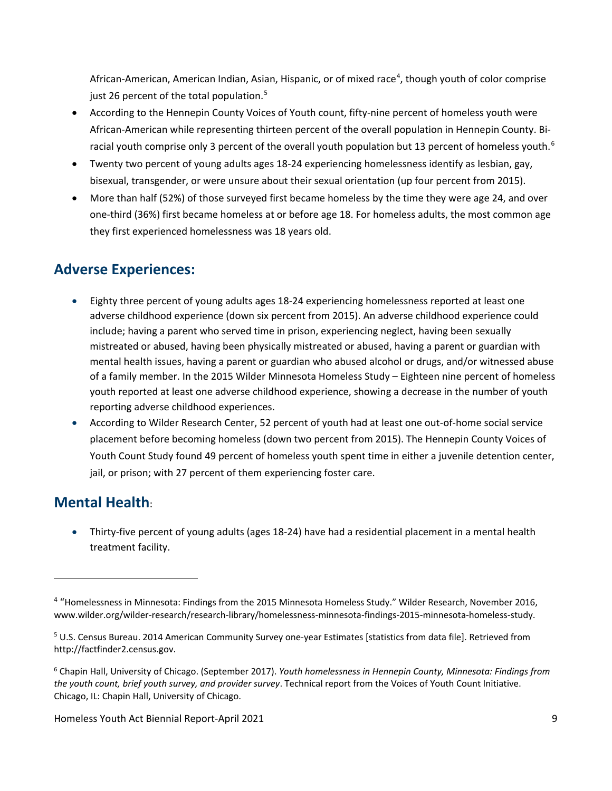African-American, American Indian, Asian, Hispanic, or of mixed race<sup>4</sup>, though youth of color comprise just 26 percent of the total population. $5$ 

- According to the Hennepin County Voices of Youth count, fifty-nine percent of homeless youth were African-American while representing thirteen percent of the overall population in Hennepin County. Biracial youth comprise only 3 percent of the overall youth population but 13 percent of homeless youth.<sup>6</sup>
- Twenty two percent of young adults ages 18-24 experiencing homelessness identify as lesbian, gay, bisexual, transgender, or were unsure about their sexual orientation (up four percent from 2015).
- More than half (52%) of those surveyed first became homeless by the time they were age 24, and over one-third (36%) first became homeless at or before age 18. For homeless adults, the most common age they first experienced homelessness was 18 years old.

### **Adverse Experiences:**

- Eighty three percent of young adults ages 18-24 experiencing homelessness reported at least one adverse childhood experience (down six percent from 2015). An adverse childhood experience could include; having a parent who served time in prison, experiencing neglect, having been sexually mistreated or abused, having been physically mistreated or abused, having a parent or guardian with mental health issues, having a parent or guardian who abused alcohol or drugs, and/or witnessed abuse of a family member. In the 2015 Wilder Minnesota Homeless Study – Eighteen nine percent of homeless youth reported at least one adverse childhood experience, showing a decrease in the number of youth reporting adverse childhood experiences.
- According to Wilder Research Center, 52 percent of youth had at least one out-of-home social service placement before becoming homeless (down two percent from 2015). The Hennepin County Voices of Youth Count Study found 49 percent of homeless youth spent time in either a juvenile detention center, jail, or prison; with 27 percent of them experiencing foster care.

## **Mental Health**:

 $\overline{\phantom{a}}$ 

• Thirty-five percent of young adults (ages 18-24) have had a residential placement in a mental health treatment facility.

<sup>4</sup> "Homelessness in Minnesota: Findings from the 2015 Minnesota Homeless Study." Wilder Research, November 2016, www.wilder.org/wilder-research/research-library/homelessness-minnesota-findings-2015-minnesota-homeless-study.

<sup>5</sup> U.S. Census Bureau. 2014 American Community Survey one-year Estimates [statistics from data file]. Retrieved from http://factfinder2.census.gov.

<sup>6</sup> Chapin Hall, University of Chicago. (September 2017). *Youth homelessness in Hennepin County, Minnesota: Findings from the youth count, brief youth survey, and provider survey*. Technical report from the Voices of Youth Count Initiative. Chicago, IL: Chapin Hall, University of Chicago.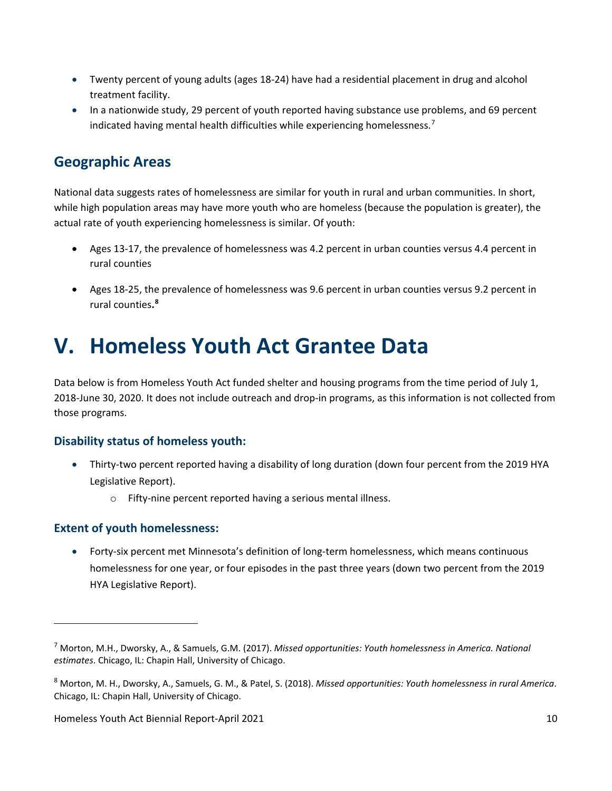- Twenty percent of young adults (ages 18-24) have had a residential placement in drug and alcohol treatment facility.
- In a nationwide study, 29 percent of youth reported having substance use problems, and 69 percent indicated having mental health difficulties while experiencing homelessness.<sup>7</sup>

### **Geographic Areas**

National data suggests rates of homelessness are similar for youth in rural and urban communities. In short, while high population areas may have more youth who are homeless (because the population is greater), the actual rate of youth experiencing homelessness is similar. Of youth:

- Ages 13-17, the prevalence of homelessness was 4.2 percent in urban counties versus 4.4 percent in rural counties
- Ages 18-25, the prevalence of homelessness was 9.6 percent in urban counties versus 9.2 percent in rural counties**. 8**

# **V. Homeless Youth Act Grantee Data**

Data below is from Homeless Youth Act funded shelter and housing programs from the time period of July 1, 2018-June 30, 2020. It does not include outreach and drop-in programs, as this information is not collected from those programs.

### **Disability status of homeless youth:**

- Thirty-two percent reported having a disability of long duration (down four percent from the 2019 HYA Legislative Report).
	- o Fifty-nine percent reported having a serious mental illness.

### **Extent of youth homelessness:**

 $\overline{\phantom{a}}$ 

• Forty-six percent met Minnesota's definition of long-term homelessness, which means continuous homelessness for one year, or four episodes in the past three years (down two percent from the 2019 HYA Legislative Report).

<sup>7</sup> Morton, M.H., Dworsky, A., & Samuels, G.M. (2017). *Missed opportunities: Youth homelessness in America. National estimates*. Chicago, IL: Chapin Hall, University of Chicago.

<sup>8</sup> Morton, M. H., Dworsky, A., Samuels, G. M., & Patel, S. (2018). *Missed opportunities: Youth homelessness in rural America*. Chicago, IL: Chapin Hall, University of Chicago.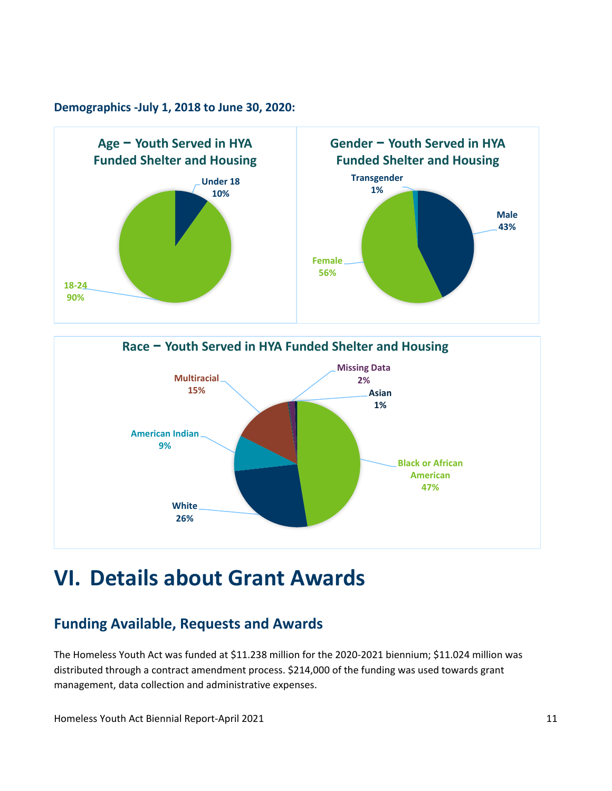#### **Demographics -July 1, 2018 to June 30, 2020:**





# **VI. Details about Grant Awards**

## **Funding Available, Requests and Awards**

The Homeless Youth Act was funded at \$11.238 million for the 2020-2021 biennium; \$11.024 million was distributed through a contract amendment process. \$214,000 of the funding was used towards grant management, data collection and administrative expenses.

Homeless Youth Act Biennial Report-April 2021 11 12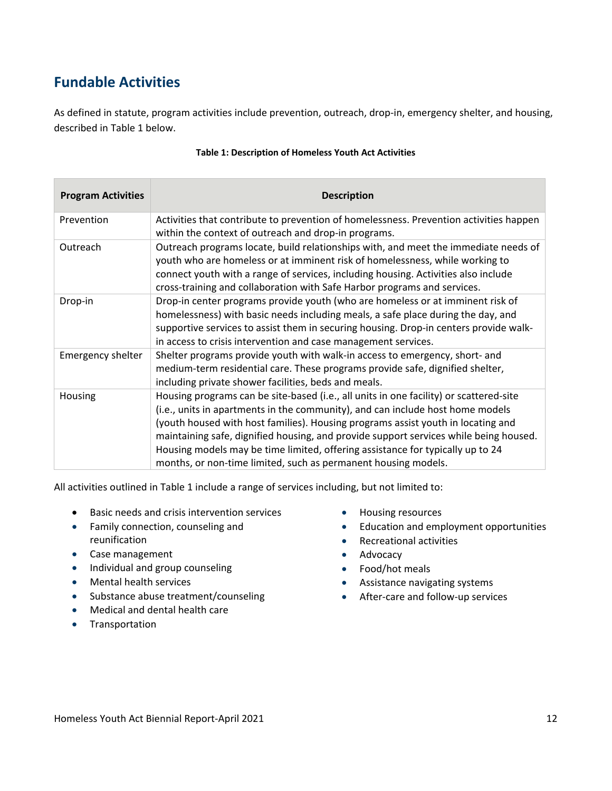## **Fundable Activities**

As defined in statute, program activities include prevention, outreach, drop-in, emergency shelter, and housing, described in Table 1 below.

| <b>Program Activities</b> | <b>Description</b>                                                                                                                                                                                                                                                                                                                                                                                                                                                                                        |
|---------------------------|-----------------------------------------------------------------------------------------------------------------------------------------------------------------------------------------------------------------------------------------------------------------------------------------------------------------------------------------------------------------------------------------------------------------------------------------------------------------------------------------------------------|
| Prevention                | Activities that contribute to prevention of homelessness. Prevention activities happen<br>within the context of outreach and drop-in programs.                                                                                                                                                                                                                                                                                                                                                            |
| Outreach                  | Outreach programs locate, build relationships with, and meet the immediate needs of<br>youth who are homeless or at imminent risk of homelessness, while working to<br>connect youth with a range of services, including housing. Activities also include<br>cross-training and collaboration with Safe Harbor programs and services.                                                                                                                                                                     |
| Drop-in                   | Drop-in center programs provide youth (who are homeless or at imminent risk of<br>homelessness) with basic needs including meals, a safe place during the day, and<br>supportive services to assist them in securing housing. Drop-in centers provide walk-<br>in access to crisis intervention and case management services.                                                                                                                                                                             |
| Emergency shelter         | Shelter programs provide youth with walk-in access to emergency, short- and<br>medium-term residential care. These programs provide safe, dignified shelter,<br>including private shower facilities, beds and meals.                                                                                                                                                                                                                                                                                      |
| Housing                   | Housing programs can be site-based (i.e., all units in one facility) or scattered-site<br>(i.e., units in apartments in the community), and can include host home models<br>(youth housed with host families). Housing programs assist youth in locating and<br>maintaining safe, dignified housing, and provide support services while being housed.<br>Housing models may be time limited, offering assistance for typically up to 24<br>months, or non-time limited, such as permanent housing models. |

#### **Table 1: Description of Homeless Youth Act Activities**

All activities outlined in Table 1 include a range of services including, but not limited to:

- Basic needs and crisis intervention services
- Family connection, counseling and reunification
- Case management
- Individual and group counseling
- Mental health services
- Substance abuse treatment/counseling
- Medical and dental health care
- Transportation
- Housing resources
- Education and employment opportunities
- Recreational activities
- Advocacy
- Food/hot meals
- Assistance navigating systems
- After-care and follow-up services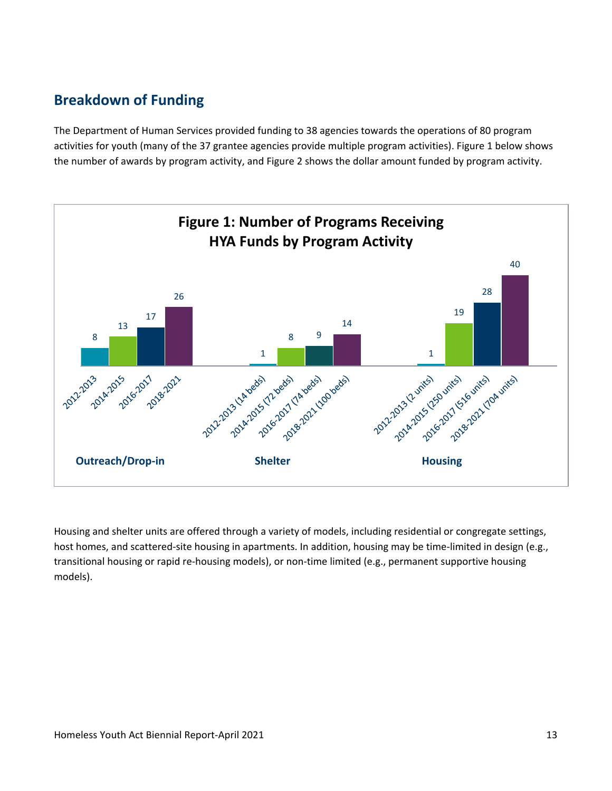## **Breakdown of Funding**

The Department of Human Services provided funding to 38 agencies towards the operations of 80 program activities for youth (many of the 37 grantee agencies provide multiple program activities). Figure 1 below shows the number of awards by program activity, and Figure 2 shows the dollar amount funded by program activity.



Housing and shelter units are offered through a variety of models, including residential or congregate settings, host homes, and scattered-site housing in apartments. In addition, housing may be time-limited in design (e.g., transitional housing or rapid re-housing models), or non-time limited (e.g., permanent supportive housing models).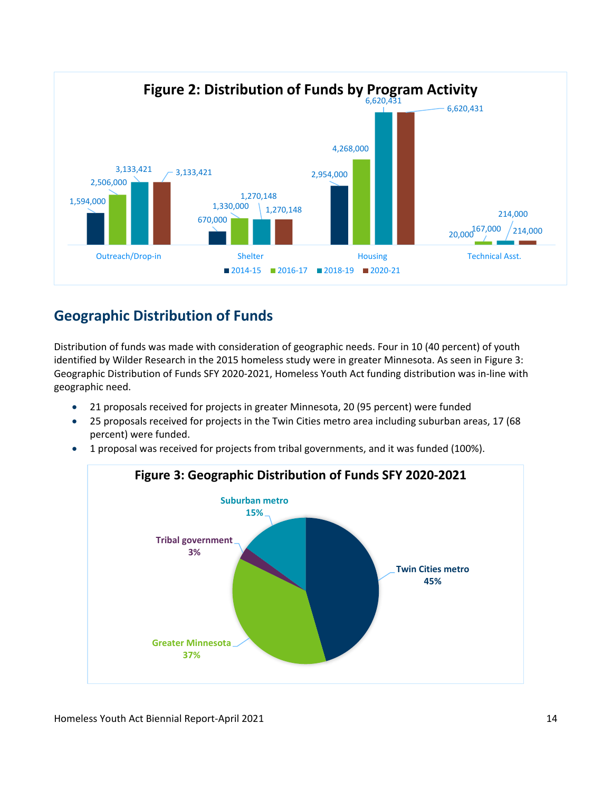

## **Geographic Distribution of Funds**

Distribution of funds was made with consideration of geographic needs. Four in 10 (40 percent) of youth identified by Wilder Research in the 2015 homeless study were in greater Minnesota. As seen in Figure 3: Geographic Distribution of Funds SFY 2020-2021, Homeless Youth Act funding distribution was in-line with geographic need.

- 21 proposals received for projects in greater Minnesota, 20 (95 percent) were funded
- 25 proposals received for projects in the Twin Cities metro area including suburban areas, 17 (68 percent) were funded.
- 1 proposal was received for projects from tribal governments, and it was funded (100%).

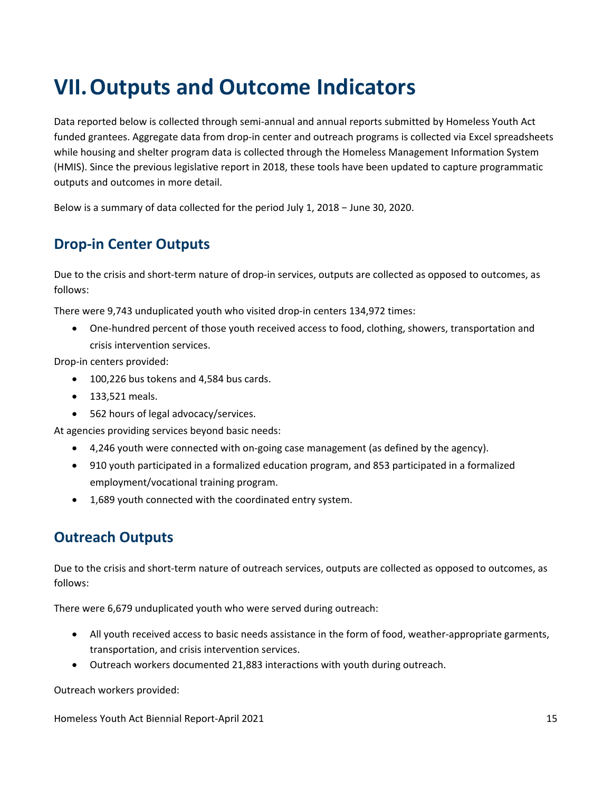# **VII.Outputs and Outcome Indicators**

Data reported below is collected through semi-annual and annual reports submitted by Homeless Youth Act funded grantees. Aggregate data from drop-in center and outreach programs is collected via Excel spreadsheets while housing and shelter program data is collected through the Homeless Management Information System (HMIS). Since the previous legislative report in 2018, these tools have been updated to capture programmatic outputs and outcomes in more detail.

Below is a summary of data collected for the period July 1, 2018 − June 30, 2020.

### **Drop-in Center Outputs**

Due to the crisis and short-term nature of drop-in services, outputs are collected as opposed to outcomes, as follows:

There were 9,743 unduplicated youth who visited drop-in centers 134,972 times:

• One-hundred percent of those youth received access to food, clothing, showers, transportation and crisis intervention services.

Drop-in centers provided:

- 100,226 bus tokens and 4,584 bus cards.
- 133,521 meals.
- 562 hours of legal advocacy/services.

At agencies providing services beyond basic needs:

- 4,246 youth were connected with on-going case management (as defined by the agency).
- 910 youth participated in a formalized education program, and 853 participated in a formalized employment/vocational training program.
- 1,689 youth connected with the coordinated entry system.

### **Outreach Outputs**

Due to the crisis and short-term nature of outreach services, outputs are collected as opposed to outcomes, as follows:

There were 6,679 unduplicated youth who were served during outreach:

- All youth received access to basic needs assistance in the form of food, weather-appropriate garments, transportation, and crisis intervention services.
- Outreach workers documented 21,883 interactions with youth during outreach.

Outreach workers provided:

Homeless Youth Act Biennial Report-April 2021 15 15 16 17 18 18 19 18 19 18 19 18 19 18 19 19 19 19 19 19 19 1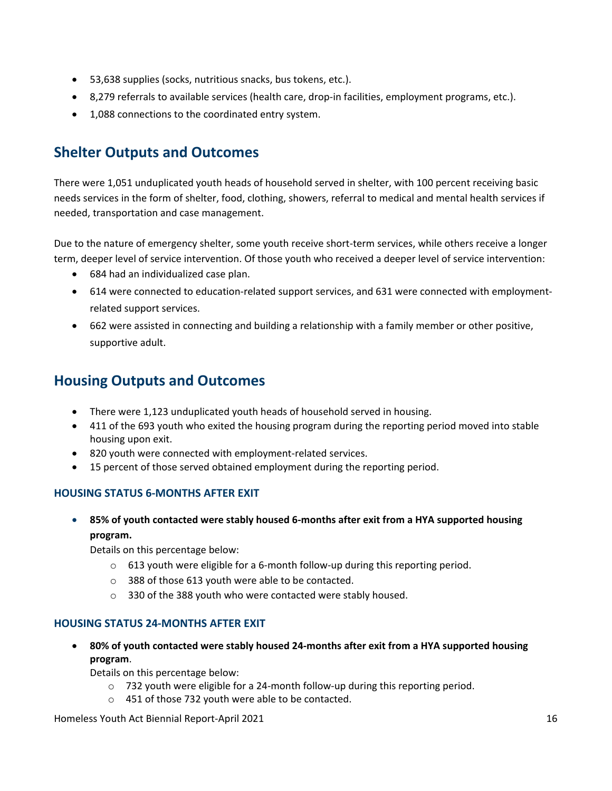- 53,638 supplies (socks, nutritious snacks, bus tokens, etc.).
- 8,279 referrals to available services (health care, drop-in facilities, employment programs, etc.).
- 1,088 connections to the coordinated entry system.

### **Shelter Outputs and Outcomes**

There were 1,051 unduplicated youth heads of household served in shelter, with 100 percent receiving basic needs services in the form of shelter, food, clothing, showers, referral to medical and mental health services if needed, transportation and case management.

Due to the nature of emergency shelter, some youth receive short-term services, while others receive a longer term, deeper level of service intervention. Of those youth who received a deeper level of service intervention:

- 684 had an individualized case plan.
- 614 were connected to education-related support services, and 631 were connected with employmentrelated support services.
- 662 were assisted in connecting and building a relationship with a family member or other positive, supportive adult.

### **Housing Outputs and Outcomes**

- There were 1,123 unduplicated youth heads of household served in housing.
- 411 of the 693 youth who exited the housing program during the reporting period moved into stable housing upon exit.
- 820 youth were connected with employment-related services.
- 15 percent of those served obtained employment during the reporting period.

#### **HOUSING STATUS 6-MONTHS AFTER EXIT**

• **85% of youth contacted were stably housed 6-months after exit from a HYA supported housing program.**

Details on this percentage below:

- o 613 youth were eligible for a 6-month follow-up during this reporting period.
- o 388 of those 613 youth were able to be contacted.
- o 330 of the 388 youth who were contacted were stably housed.

#### **HOUSING STATUS 24-MONTHS AFTER EXIT**

• **80% of youth contacted were stably housed 24-months after exit from a HYA supported housing program**.

Details on this percentage below:

- o 732 youth were eligible for a 24-month follow-up during this reporting period.
- o 451 of those 732 youth were able to be contacted.

Homeless Youth Act Biennial Report-April 2021 16 16 17 18 18 19 18 18 18 19 18 19 18 19 18 19 18 19 18 19 18 1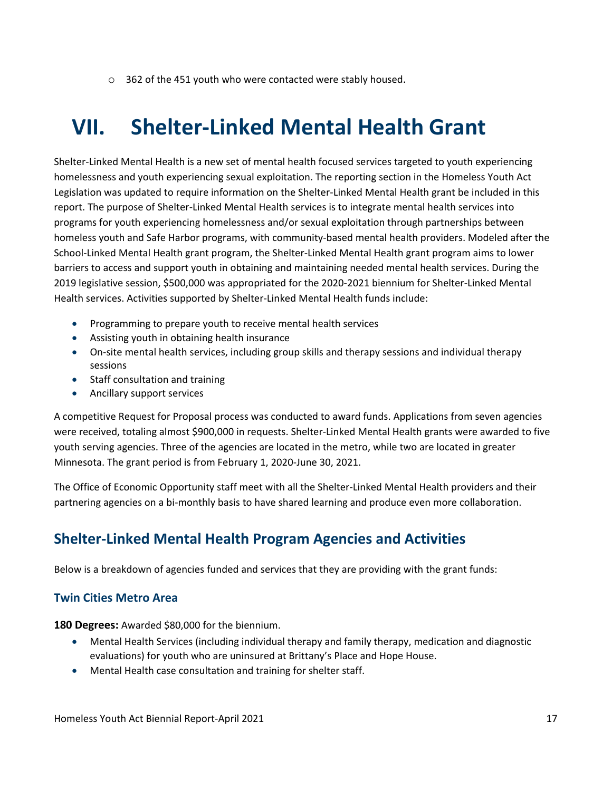o 362 of the 451 youth who were contacted were stably housed.

# **VII. Shelter-Linked Mental Health Grant**

Shelter-Linked Mental Health is a new set of mental health focused services targeted to youth experiencing homelessness and youth experiencing sexual exploitation. The reporting section in the Homeless Youth Act Legislation was updated to require information on the Shelter-Linked Mental Health grant be included in this report. The purpose of Shelter-Linked Mental Health services is to integrate mental health services into programs for youth experiencing homelessness and/or sexual exploitation through partnerships between homeless youth and Safe Harbor programs, with community-based mental health providers. Modeled after the School-Linked Mental Health grant program, the Shelter-Linked Mental Health grant program aims to lower barriers to access and support youth in obtaining and maintaining needed mental health services. During the 2019 legislative session, \$500,000 was appropriated for the 2020-2021 biennium for Shelter-Linked Mental Health services. Activities supported by Shelter-Linked Mental Health funds include:

- Programming to prepare youth to receive mental health services
- Assisting youth in obtaining health insurance
- On-site mental health services, including group skills and therapy sessions and individual therapy sessions
- Staff consultation and training
- Ancillary support services

A competitive Request for Proposal process was conducted to award funds. Applications from seven agencies were received, totaling almost \$900,000 in requests. Shelter-Linked Mental Health grants were awarded to five youth serving agencies. Three of the agencies are located in the metro, while two are located in greater Minnesota. The grant period is from February 1, 2020-June 30, 2021.

The Office of Economic Opportunity staff meet with all the Shelter-Linked Mental Health providers and their partnering agencies on a bi-monthly basis to have shared learning and produce even more collaboration.

## **Shelter-Linked Mental Health Program Agencies and Activities**

Below is a breakdown of agencies funded and services that they are providing with the grant funds:

#### **Twin Cities Metro Area**

**180 Degrees:** Awarded \$80,000 for the biennium.

- Mental Health Services (including individual therapy and family therapy, medication and diagnostic evaluations) for youth who are uninsured at Brittany's Place and Hope House.
- Mental Health case consultation and training for shelter staff.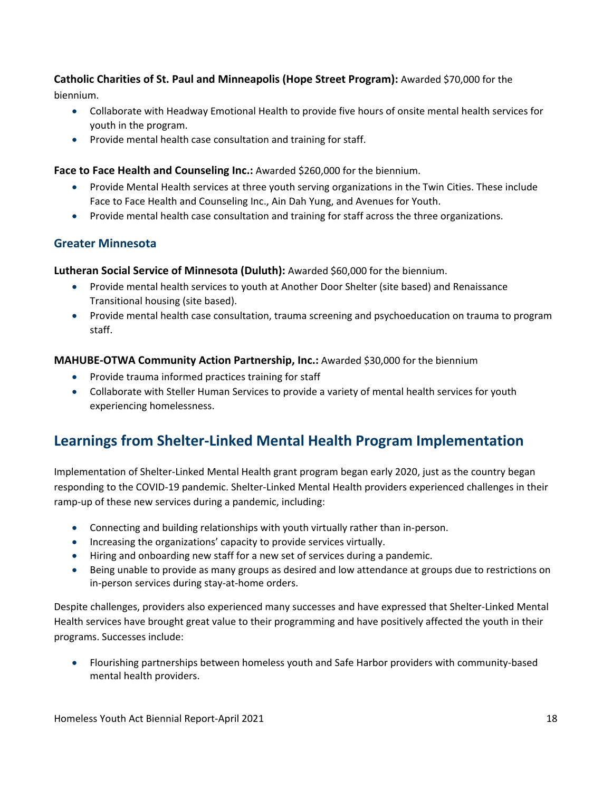### **Catholic Charities of St. Paul and Minneapolis (Hope Street Program):** Awarded \$70,000 for the biennium.

- Collaborate with Headway Emotional Health to provide five hours of onsite mental health services for youth in the program.
- Provide mental health case consultation and training for staff.

### **Face to Face Health and Counseling Inc.:** Awarded \$260,000 for the biennium.

- Provide Mental Health services at three youth serving organizations in the Twin Cities. These include Face to Face Health and Counseling Inc., Ain Dah Yung, and Avenues for Youth.
- Provide mental health case consultation and training for staff across the three organizations.

### **Greater Minnesota**

**Lutheran Social Service of Minnesota (Duluth):** Awarded \$60,000 for the biennium.

- Provide mental health services to youth at Another Door Shelter (site based) and Renaissance Transitional housing (site based).
- Provide mental health case consultation, trauma screening and psychoeducation on trauma to program staff.

### **MAHUBE-OTWA Community Action Partnership, Inc.:** Awarded \$30,000 for the biennium

- Provide trauma informed practices training for staff
- Collaborate with Steller Human Services to provide a variety of mental health services for youth experiencing homelessness.

## **Learnings from Shelter-Linked Mental Health Program Implementation**

Implementation of Shelter-Linked Mental Health grant program began early 2020, just as the country began responding to the COVID-19 pandemic. Shelter-Linked Mental Health providers experienced challenges in their ramp-up of these new services during a pandemic, including:

- Connecting and building relationships with youth virtually rather than in-person.
- Increasing the organizations' capacity to provide services virtually.
- Hiring and onboarding new staff for a new set of services during a pandemic.
- Being unable to provide as many groups as desired and low attendance at groups due to restrictions on in-person services during stay-at-home orders.

Despite challenges, providers also experienced many successes and have expressed that Shelter-Linked Mental Health services have brought great value to their programming and have positively affected the youth in their programs. Successes include:

• Flourishing partnerships between homeless youth and Safe Harbor providers with community-based mental health providers.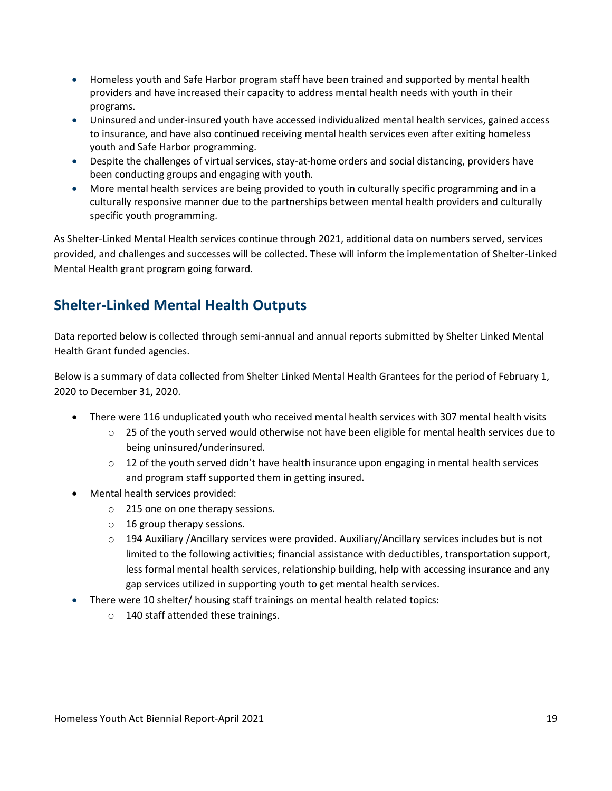- Homeless youth and Safe Harbor program staff have been trained and supported by mental health providers and have increased their capacity to address mental health needs with youth in their programs.
- Uninsured and under-insured youth have accessed individualized mental health services, gained access to insurance, and have also continued receiving mental health services even after exiting homeless youth and Safe Harbor programming.
- Despite the challenges of virtual services, stay-at-home orders and social distancing, providers have been conducting groups and engaging with youth.
- More mental health services are being provided to youth in culturally specific programming and in a culturally responsive manner due to the partnerships between mental health providers and culturally specific youth programming.

As Shelter-Linked Mental Health services continue through 2021, additional data on numbers served, services provided, and challenges and successes will be collected. These will inform the implementation of Shelter-Linked Mental Health grant program going forward.

## **Shelter-Linked Mental Health Outputs**

Data reported below is collected through semi-annual and annual reports submitted by Shelter Linked Mental Health Grant funded agencies.

Below is a summary of data collected from Shelter Linked Mental Health Grantees for the period of February 1, 2020 to December 31, 2020.

- There were 116 unduplicated youth who received mental health services with 307 mental health visits
	- $\circ$  25 of the youth served would otherwise not have been eligible for mental health services due to being uninsured/underinsured.
	- $\circ$  12 of the youth served didn't have health insurance upon engaging in mental health services and program staff supported them in getting insured.
- Mental health services provided:
	- o 215 one on one therapy sessions.
	- o 16 group therapy sessions.
	- o 194 Auxiliary /Ancillary services were provided. Auxiliary/Ancillary services includes but is not limited to the following activities; financial assistance with deductibles, transportation support, less formal mental health services, relationship building, help with accessing insurance and any gap services utilized in supporting youth to get mental health services.
- There were 10 shelter/ housing staff trainings on mental health related topics:
	- o 140 staff attended these trainings.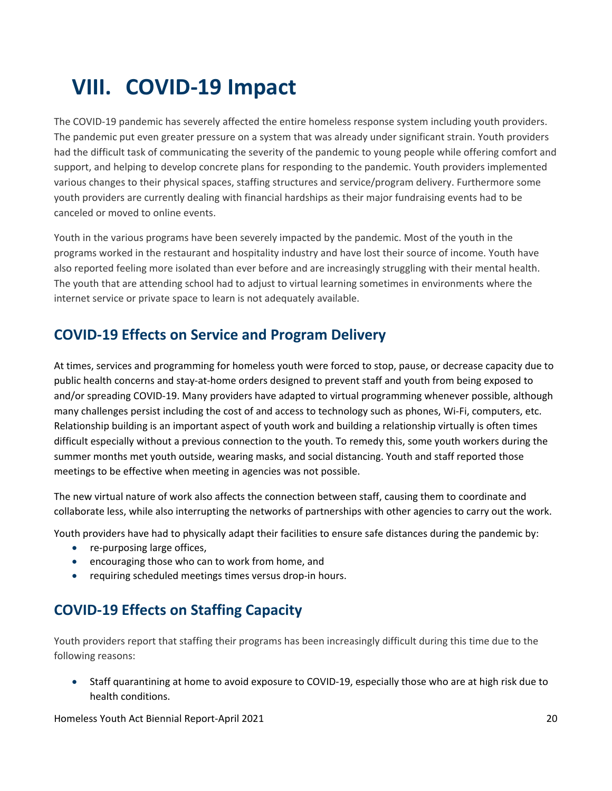# **VIII. COVID-19 Impact**

The COVID-19 pandemic has severely affected the entire homeless response system including youth providers. The pandemic put even greater pressure on a system that was already under significant strain. Youth providers had the difficult task of communicating the severity of the pandemic to young people while offering comfort and support, and helping to develop concrete plans for responding to the pandemic. Youth providers implemented various changes to their physical spaces, staffing structures and service/program delivery. Furthermore some youth providers are currently dealing with financial hardships as their major fundraising events had to be canceled or moved to online events.

Youth in the various programs have been severely impacted by the pandemic. Most of the youth in the programs worked in the restaurant and hospitality industry and have lost their source of income. Youth have also reported feeling more isolated than ever before and are increasingly struggling with their mental health. The youth that are attending school had to adjust to virtual learning sometimes in environments where the internet service or private space to learn is not adequately available.

## **COVID-19 Effects on Service and Program Delivery**

At times, services and programming for homeless youth were forced to stop, pause, or decrease capacity due to public health concerns and stay-at-home orders designed to prevent staff and youth from being exposed to and/or spreading COVID-19. Many providers have adapted to virtual programming whenever possible, although many challenges persist including the cost of and access to technology such as phones, Wi-Fi, computers, etc. Relationship building is an important aspect of youth work and building a relationship virtually is often times difficult especially without a previous connection to the youth. To remedy this, some youth workers during the summer months met youth outside, wearing masks, and social distancing. Youth and staff reported those meetings to be effective when meeting in agencies was not possible.

The new virtual nature of work also affects the connection between staff, causing them to coordinate and collaborate less, while also interrupting the networks of partnerships with other agencies to carry out the work.

Youth providers have had to physically adapt their facilities to ensure safe distances during the pandemic by:

- re-purposing large offices,
- encouraging those who can to work from home, and
- requiring scheduled meetings times versus drop-in hours.

## **COVID-19 Effects on Staffing Capacity**

Youth providers report that staffing their programs has been increasingly difficult during this time due to the following reasons:

• Staff quarantining at home to avoid exposure to COVID-19, especially those who are at high risk due to health conditions.

Homeless Youth Act Biennial Report-April 2021 20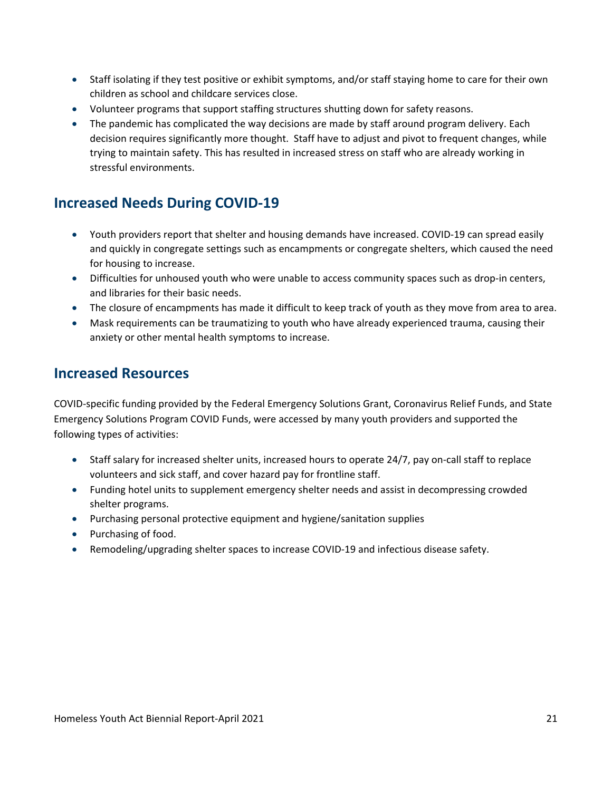- Staff isolating if they test positive or exhibit symptoms, and/or staff staying home to care for their own children as school and childcare services close.
- Volunteer programs that support staffing structures shutting down for safety reasons.
- The pandemic has complicated the way decisions are made by staff around program delivery. Each decision requires significantly more thought. Staff have to adjust and pivot to frequent changes, while trying to maintain safety. This has resulted in increased stress on staff who are already working in stressful environments.

## **Increased Needs During COVID-19**

- Youth providers report that shelter and housing demands have increased. COVID-19 can spread easily and quickly in congregate settings such as encampments or congregate shelters, which caused the need for housing to increase.
- Difficulties for unhoused youth who were unable to access community spaces such as drop-in centers, and libraries for their basic needs.
- The closure of encampments has made it difficult to keep track of youth as they move from area to area.
- Mask requirements can be traumatizing to youth who have already experienced trauma, causing their anxiety or other mental health symptoms to increase.

### **Increased Resources**

COVID-specific funding provided by the Federal Emergency Solutions Grant, Coronavirus Relief Funds, and State Emergency Solutions Program COVID Funds, were accessed by many youth providers and supported the following types of activities:

- Staff salary for increased shelter units, increased hours to operate 24/7, pay on-call staff to replace volunteers and sick staff, and cover hazard pay for frontline staff.
- Funding hotel units to supplement emergency shelter needs and assist in decompressing crowded shelter programs.
- Purchasing personal protective equipment and hygiene/sanitation supplies
- Purchasing of food.
- Remodeling/upgrading shelter spaces to increase COVID-19 and infectious disease safety.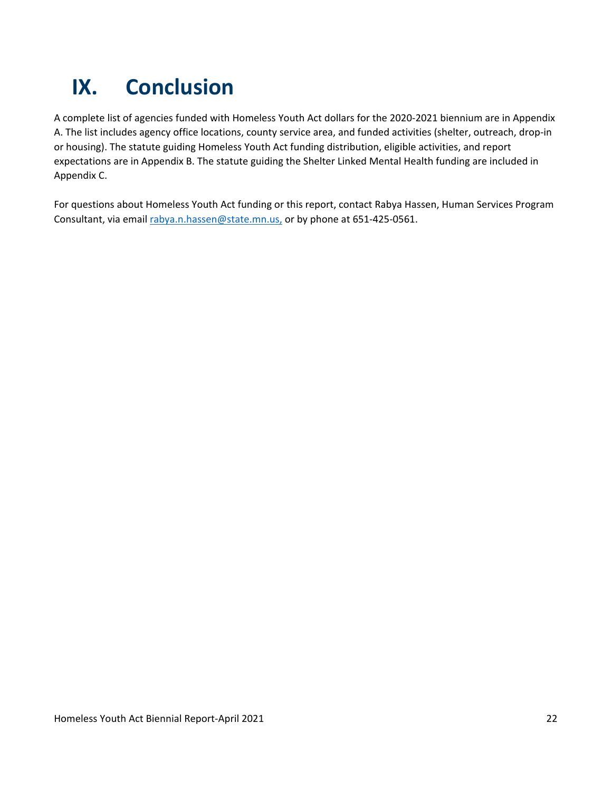# **IX. Conclusion**

A complete list of agencies funded with Homeless Youth Act dollars for the 2020-2021 biennium are in Appendix A. The list includes agency office locations, county service area, and funded activities (shelter, outreach, drop-in or housing). The statute guiding Homeless Youth Act funding distribution, eligible activities, and report expectations are in Appendix B. The statute guiding the Shelter Linked Mental Health funding are included in Appendix C.

For questions about Homeless Youth Act funding or this report, contact Rabya Hassen, Human Services Program Consultant, via email rabya.n.hassen@state.mn.us, or by phone at 651-425-0561.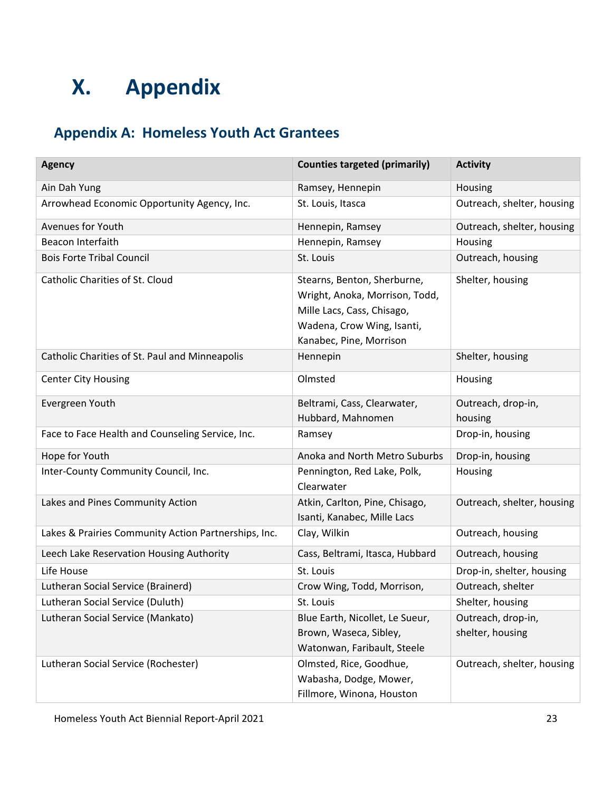# **X. Appendix**

## **Appendix A: Homeless Youth Act Grantees**

| <b>Agency</b>                                        | <b>Counties targeted (primarily)</b>                                                                                                                 | <b>Activity</b>                        |
|------------------------------------------------------|------------------------------------------------------------------------------------------------------------------------------------------------------|----------------------------------------|
| Ain Dah Yung                                         | Ramsey, Hennepin                                                                                                                                     | Housing                                |
| Arrowhead Economic Opportunity Agency, Inc.          | St. Louis, Itasca                                                                                                                                    | Outreach, shelter, housing             |
| Avenues for Youth                                    | Hennepin, Ramsey                                                                                                                                     | Outreach, shelter, housing             |
| Beacon Interfaith                                    | Hennepin, Ramsey                                                                                                                                     | Housing                                |
| <b>Bois Forte Tribal Council</b>                     | St. Louis                                                                                                                                            | Outreach, housing                      |
| Catholic Charities of St. Cloud                      | Stearns, Benton, Sherburne,<br>Wright, Anoka, Morrison, Todd,<br>Mille Lacs, Cass, Chisago,<br>Wadena, Crow Wing, Isanti,<br>Kanabec, Pine, Morrison | Shelter, housing                       |
| Catholic Charities of St. Paul and Minneapolis       | Hennepin                                                                                                                                             | Shelter, housing                       |
| <b>Center City Housing</b>                           | Olmsted                                                                                                                                              | Housing                                |
| Evergreen Youth                                      | Beltrami, Cass, Clearwater,<br>Hubbard, Mahnomen                                                                                                     | Outreach, drop-in,<br>housing          |
| Face to Face Health and Counseling Service, Inc.     | Ramsey                                                                                                                                               | Drop-in, housing                       |
| Hope for Youth                                       | Anoka and North Metro Suburbs                                                                                                                        | Drop-in, housing                       |
| Inter-County Community Council, Inc.                 | Pennington, Red Lake, Polk,<br>Clearwater                                                                                                            | Housing                                |
| Lakes and Pines Community Action                     | Atkin, Carlton, Pine, Chisago,<br>Isanti, Kanabec, Mille Lacs                                                                                        | Outreach, shelter, housing             |
| Lakes & Prairies Community Action Partnerships, Inc. | Clay, Wilkin                                                                                                                                         | Outreach, housing                      |
| Leech Lake Reservation Housing Authority             | Cass, Beltrami, Itasca, Hubbard                                                                                                                      | Outreach, housing                      |
| Life House                                           | St. Louis                                                                                                                                            | Drop-in, shelter, housing              |
| Lutheran Social Service (Brainerd)                   | Crow Wing, Todd, Morrison,                                                                                                                           | Outreach, shelter                      |
| Lutheran Social Service (Duluth)                     | St. Louis                                                                                                                                            | Shelter, housing                       |
| Lutheran Social Service (Mankato)                    | Blue Earth, Nicollet, Le Sueur,<br>Brown, Waseca, Sibley,                                                                                            | Outreach, drop-in,<br>shelter, housing |
|                                                      | Watonwan, Faribault, Steele                                                                                                                          |                                        |
| Lutheran Social Service (Rochester)                  | Olmsted, Rice, Goodhue,                                                                                                                              | Outreach, shelter, housing             |
|                                                      | Wabasha, Dodge, Mower,                                                                                                                               |                                        |
|                                                      | Fillmore, Winona, Houston                                                                                                                            |                                        |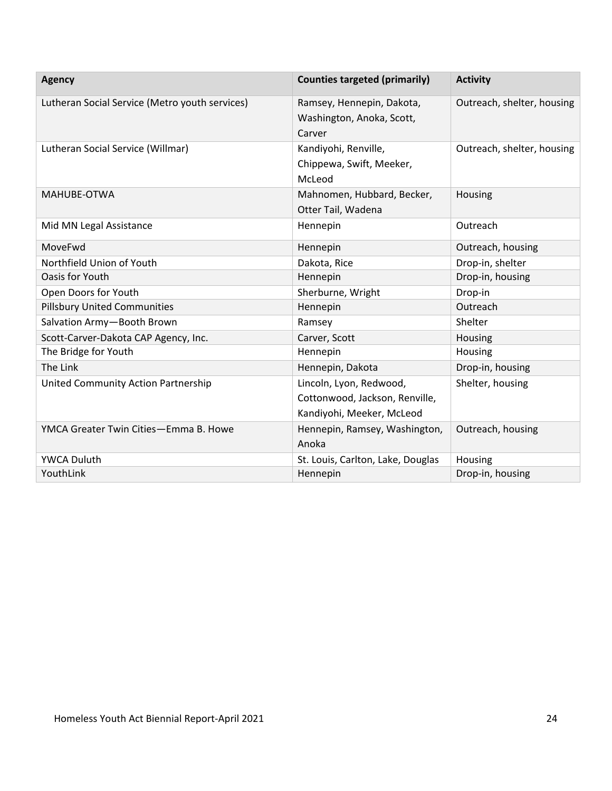| <b>Agency</b>                                  | <b>Counties targeted (primarily)</b>                                                   | <b>Activity</b>            |
|------------------------------------------------|----------------------------------------------------------------------------------------|----------------------------|
| Lutheran Social Service (Metro youth services) | Ramsey, Hennepin, Dakota,<br>Washington, Anoka, Scott,<br>Carver                       | Outreach, shelter, housing |
| Lutheran Social Service (Willmar)              | Kandiyohi, Renville,<br>Chippewa, Swift, Meeker,<br>McLeod                             | Outreach, shelter, housing |
| MAHUBE-OTWA                                    | Mahnomen, Hubbard, Becker,<br>Otter Tail, Wadena                                       | Housing                    |
| Mid MN Legal Assistance                        | Hennepin                                                                               | Outreach                   |
| MoveFwd                                        | Hennepin                                                                               | Outreach, housing          |
| Northfield Union of Youth                      | Dakota, Rice                                                                           | Drop-in, shelter           |
| Oasis for Youth                                | Hennepin                                                                               | Drop-in, housing           |
| Open Doors for Youth                           | Sherburne, Wright                                                                      | Drop-in                    |
| <b>Pillsbury United Communities</b>            | Hennepin                                                                               | Outreach                   |
| Salvation Army-Booth Brown                     | Ramsey                                                                                 | Shelter                    |
| Scott-Carver-Dakota CAP Agency, Inc.           | Carver, Scott                                                                          | Housing                    |
| The Bridge for Youth                           | Hennepin                                                                               | Housing                    |
| The Link                                       | Hennepin, Dakota                                                                       | Drop-in, housing           |
| United Community Action Partnership            | Lincoln, Lyon, Redwood,<br>Cottonwood, Jackson, Renville,<br>Kandiyohi, Meeker, McLeod | Shelter, housing           |
| YMCA Greater Twin Cities-Emma B. Howe          | Hennepin, Ramsey, Washington,<br>Anoka                                                 | Outreach, housing          |
| <b>YWCA Duluth</b>                             | St. Louis, Carlton, Lake, Douglas                                                      | Housing                    |
| YouthLink                                      | Hennepin                                                                               | Drop-in, housing           |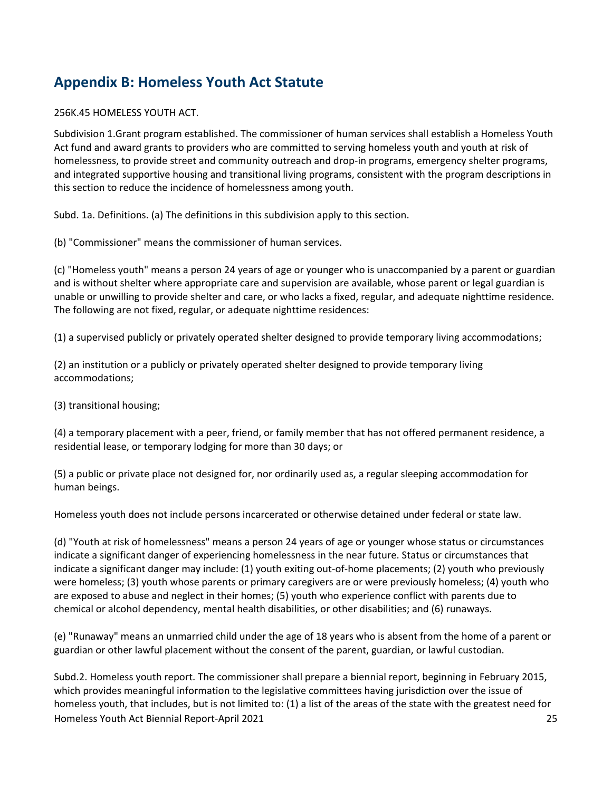## **Appendix B: Homeless Youth Act Statute**

#### 256K.45 HOMELESS YOUTH ACT.

Subdivision 1.Grant program established. The commissioner of human services shall establish a Homeless Youth Act fund and award grants to providers who are committed to serving homeless youth and youth at risk of homelessness, to provide street and community outreach and drop-in programs, emergency shelter programs, and integrated supportive housing and transitional living programs, consistent with the program descriptions in this section to reduce the incidence of homelessness among youth.

Subd. 1a. Definitions. (a) The definitions in this subdivision apply to this section.

(b) "Commissioner" means the commissioner of human services.

(c) "Homeless youth" means a person 24 years of age or younger who is unaccompanied by a parent or guardian and is without shelter where appropriate care and supervision are available, whose parent or legal guardian is unable or unwilling to provide shelter and care, or who lacks a fixed, regular, and adequate nighttime residence. The following are not fixed, regular, or adequate nighttime residences:

(1) a supervised publicly or privately operated shelter designed to provide temporary living accommodations;

(2) an institution or a publicly or privately operated shelter designed to provide temporary living accommodations;

(3) transitional housing;

(4) a temporary placement with a peer, friend, or family member that has not offered permanent residence, a residential lease, or temporary lodging for more than 30 days; or

(5) a public or private place not designed for, nor ordinarily used as, a regular sleeping accommodation for human beings.

Homeless youth does not include persons incarcerated or otherwise detained under federal or state law.

(d) "Youth at risk of homelessness" means a person 24 years of age or younger whose status or circumstances indicate a significant danger of experiencing homelessness in the near future. Status or circumstances that indicate a significant danger may include: (1) youth exiting out-of-home placements; (2) youth who previously were homeless; (3) youth whose parents or primary caregivers are or were previously homeless; (4) youth who are exposed to abuse and neglect in their homes; (5) youth who experience conflict with parents due to chemical or alcohol dependency, mental health disabilities, or other disabilities; and (6) runaways.

(e) "Runaway" means an unmarried child under the age of 18 years who is absent from the home of a parent or guardian or other lawful placement without the consent of the parent, guardian, or lawful custodian.

Homeless Youth Act Biennial Report-April 2021 25 Subd.2. Homeless youth report. The commissioner shall prepare a biennial report, beginning in February 2015, which provides meaningful information to the legislative committees having jurisdiction over the issue of homeless youth, that includes, but is not limited to: (1) a list of the areas of the state with the greatest need for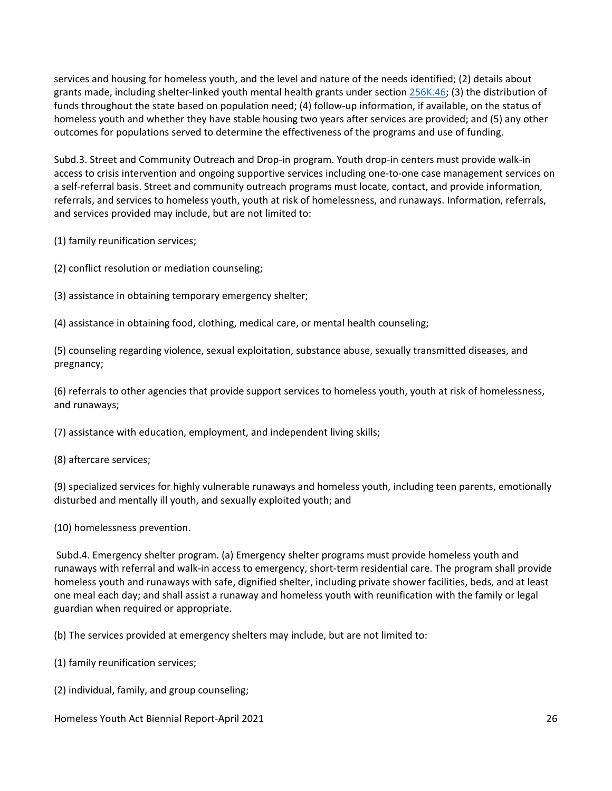services and housing for homeless youth, and the level and nature of the needs identified; (2) details about grants made, including shelter-linked youth mental health grants under section 256K.46; (3) the distribution of funds throughout the state based on population need; (4) follow-up information, if available, on the status of homeless youth and whether they have stable housing two years after services are provided; and (5) any other outcomes for populations served to determine the effectiveness of the programs and use of funding.

Subd.3. Street and Community Outreach and Drop-in program. Youth drop-in centers must provide walk-in access to crisis intervention and ongoing supportive services including one-to-one case management services on a self-referral basis. Street and community outreach programs must locate, contact, and provide information, referrals, and services to homeless youth, youth at risk of homelessness, and runaways. Information, referrals, and services provided may include, but are not limited to:

(1) family reunification services;

(2) conflict resolution or mediation counseling;

(3) assistance in obtaining temporary emergency shelter;

(4) assistance in obtaining food, clothing, medical care, or mental health counseling;

(5) counseling regarding violence, sexual exploitation, substance abuse, sexually transmitted diseases, and pregnancy;

(6) referrals to other agencies that provide support services to homeless youth, youth at risk of homelessness, and runaways;

(7) assistance with education, employment, and independent living skills;

(8) aftercare services;

(9) specialized services for highly vulnerable runaways and homeless youth, including teen parents, emotionally disturbed and mentally ill youth, and sexually exploited youth; and

(10) homelessness prevention.

Subd.4. Emergency shelter program. (a) Emergency shelter programs must provide homeless youth and runaways with referral and walk-in access to emergency, short-term residential care. The program shall provide homeless youth and runaways with safe, dignified shelter, including private shower facilities, beds, and at least one meal each day; and shall assist a runaway and homeless youth with reunification with the family or legal guardian when required or appropriate.

(b) The services provided at emergency shelters may include, but are not limited to:

- (1) family reunification services;
- (2) individual, family, and group counseling;

Homeless Youth Act Biennial Report-April 2021 26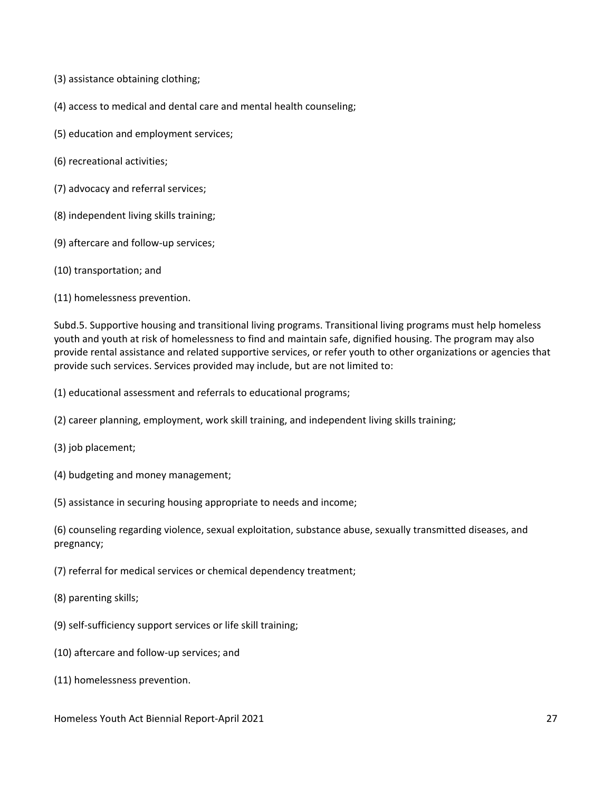- (3) assistance obtaining clothing;
- (4) access to medical and dental care and mental health counseling;
- (5) education and employment services;
- (6) recreational activities;
- (7) advocacy and referral services;
- (8) independent living skills training;
- (9) aftercare and follow-up services;
- (10) transportation; and
- (11) homelessness prevention.

Subd.5. Supportive housing and transitional living programs. Transitional living programs must help homeless youth and youth at risk of homelessness to find and maintain safe, dignified housing. The program may also provide rental assistance and related supportive services, or refer youth to other organizations or agencies that provide such services. Services provided may include, but are not limited to:

(1) educational assessment and referrals to educational programs;

- (2) career planning, employment, work skill training, and independent living skills training;
- (3) job placement;
- (4) budgeting and money management;
- (5) assistance in securing housing appropriate to needs and income;

(6) counseling regarding violence, sexual exploitation, substance abuse, sexually transmitted diseases, and pregnancy;

- (7) referral for medical services or chemical dependency treatment;
- (8) parenting skills;
- (9) self-sufficiency support services or life skill training;
- (10) aftercare and follow-up services; and
- (11) homelessness prevention.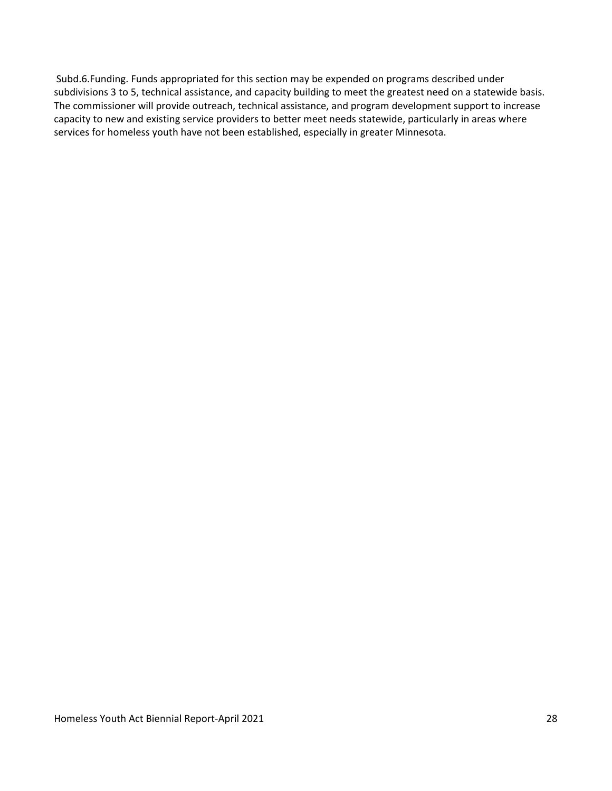Subd.6.Funding. Funds appropriated for this section may be expended on programs described under subdivisions 3 to 5, technical assistance, and capacity building to meet the greatest need on a statewide basis. The commissioner will provide outreach, technical assistance, and program development support to increase capacity to new and existing service providers to better meet needs statewide, particularly in areas where services for homeless youth have not been established, especially in greater Minnesota.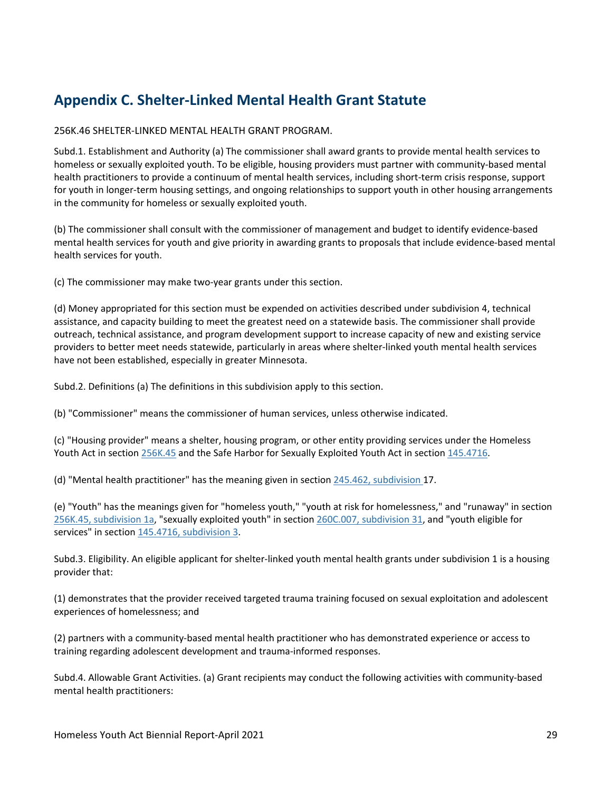## **Appendix C. Shelter-Linked Mental Health Grant Statute**

256K.46 SHELTER-LINKED MENTAL HEALTH GRANT PROGRAM.

Subd.1. Establishment and Authority (a) The commissioner shall award grants to provide mental health services to homeless or sexually exploited youth. To be eligible, housing providers must partner with community-based mental health practitioners to provide a continuum of mental health services, including short-term crisis response, support for youth in longer-term housing settings, and ongoing relationships to support youth in other housing arrangements in the community for homeless or sexually exploited youth.

(b) The commissioner shall consult with the commissioner of management and budget to identify evidence-based mental health services for youth and give priority in awarding grants to proposals that include evidence-based mental health services for youth.

(c) The commissioner may make two-year grants under this section.

(d) Money appropriated for this section must be expended on activities described under subdivision 4, technical assistance, and capacity building to meet the greatest need on a statewide basis. The commissioner shall provide outreach, technical assistance, and program development support to increase capacity of new and existing service providers to better meet needs statewide, particularly in areas where shelter-linked youth mental health services have not been established, especially in greater Minnesota.

Subd.2. Definitions (a) The definitions in this subdivision apply to this section.

(b) "Commissioner" means the commissioner of human services, unless otherwise indicated.

(c) "Housing provider" means a shelter, housing program, or other entity providing services under the Homeless Youth Act in section 256K.45 and the Safe Harbor for Sexually Exploited Youth Act in section 145.4716.

(d) "Mental health practitioner" has the meaning given in section 245.462, subdivision 17.

(e) "Youth" has the meanings given for "homeless youth," "youth at risk for homelessness," and "runaway" in section 256K.45, subdivision 1a, "sexually exploited youth" in section 260C.007, subdivision 31, and "youth eligible for services" in section 145.4716, subdivision 3.

Subd.3. Eligibility. An eligible applicant for shelter-linked youth mental health grants under subdivision 1 is a housing provider that:

(1) demonstrates that the provider received targeted trauma training focused on sexual exploitation and adolescent experiences of homelessness; and

(2) partners with a community-based mental health practitioner who has demonstrated experience or access to training regarding adolescent development and trauma-informed responses.

Subd.4. Allowable Grant Activities. (a) Grant recipients may conduct the following activities with community-based mental health practitioners: